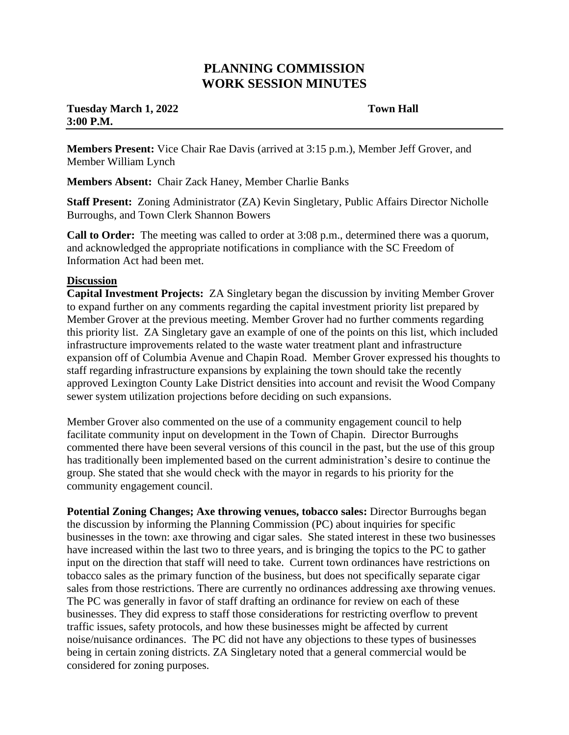## **PLANNING COMMISSION WORK SESSION MINUTES**

## **Tuesday March 1, 2022** Town Hall **3:00 P.M.**

**Members Present:** Vice Chair Rae Davis (arrived at 3:15 p.m.), Member Jeff Grover, and Member William Lynch

**Members Absent:** Chair Zack Haney, Member Charlie Banks

**Staff Present:** Zoning Administrator (ZA) Kevin Singletary, Public Affairs Director Nicholle Burroughs, and Town Clerk Shannon Bowers

**Call to Order:** The meeting was called to order at 3:08 p.m., determined there was a quorum, and acknowledged the appropriate notifications in compliance with the SC Freedom of Information Act had been met.

## **Discussion**

**Capital Investment Projects:** ZA Singletary began the discussion by inviting Member Grover to expand further on any comments regarding the capital investment priority list prepared by Member Grover at the previous meeting. Member Grover had no further comments regarding this priority list. ZA Singletary gave an example of one of the points on this list, which included infrastructure improvements related to the waste water treatment plant and infrastructure expansion off of Columbia Avenue and Chapin Road. Member Grover expressed his thoughts to staff regarding infrastructure expansions by explaining the town should take the recently approved Lexington County Lake District densities into account and revisit the Wood Company sewer system utilization projections before deciding on such expansions.

Member Grover also commented on the use of a community engagement council to help facilitate community input on development in the Town of Chapin. Director Burroughs commented there have been several versions of this council in the past, but the use of this group has traditionally been implemented based on the current administration's desire to continue the group. She stated that she would check with the mayor in regards to his priority for the community engagement council.

**Potential Zoning Changes; Axe throwing venues, tobacco sales:** Director Burroughs began the discussion by informing the Planning Commission (PC) about inquiries for specific businesses in the town: axe throwing and cigar sales. She stated interest in these two businesses have increased within the last two to three years, and is bringing the topics to the PC to gather input on the direction that staff will need to take. Current town ordinances have restrictions on tobacco sales as the primary function of the business, but does not specifically separate cigar sales from those restrictions. There are currently no ordinances addressing axe throwing venues. The PC was generally in favor of staff drafting an ordinance for review on each of these businesses. They did express to staff those considerations for restricting overflow to prevent traffic issues, safety protocols, and how these businesses might be affected by current noise/nuisance ordinances. The PC did not have any objections to these types of businesses being in certain zoning districts. ZA Singletary noted that a general commercial would be considered for zoning purposes.